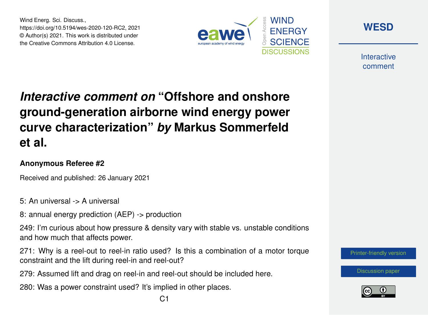Wind Energ. Sci. Discuss., https://doi.org/10.5194/wes-2020-120-RC2, 2021 © Author(s) 2021. This work is distributed under the Creative Commons Attribution 4.0 License.





**Interactive** comment

*Interactive comment on* **"Offshore and onshore ground-generation airborne wind energy power curve characterization"** *by* **Markus Sommerfeld et al.**

## **Anonymous Referee #2**

Received and published: 26 January 2021

5: An universal -> A universal

8: annual energy prediction (AEP) -> production

249: I'm curious about how pressure & density vary with stable vs. unstable conditions and how much that affects power.

271: Why is a reel-out to reel-in ratio used? Is this a combination of a motor torque constraint and the lift during reel-in and reel-out?

279: Assumed lift and drag on reel-in and reel-out should be included here.

280: Was a power constraint used? It's implied in other places.